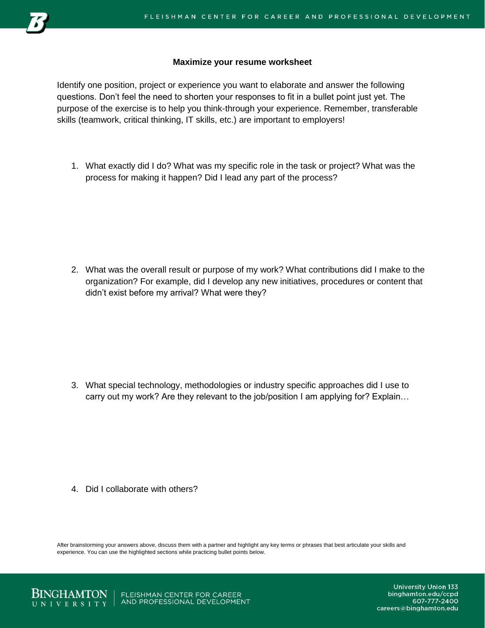

## **Maximize your resume worksheet**

Identify one position, project or experience you want to elaborate and answer the following questions. Don't feel the need to shorten your responses to fit in a bullet point just yet. The purpose of the exercise is to help you think-through your experience. Remember, transferable skills (teamwork, critical thinking, IT skills, etc.) are important to employers!

1. What exactly did I do? What was my specific role in the task or project? What was the process for making it happen? Did I lead any part of the process?

2. What was the overall result or purpose of my work? What contributions did I make to the organization? For example, did I develop any new initiatives, procedures or content that didn't exist before my arrival? What were they?

3. What special technology, methodologies or industry specific approaches did I use to carry out my work? Are they relevant to the job/position I am applying for? Explain…

4. Did I collaborate with others?

After brainstorming your answers above, discuss them with a partner and highlight any key terms or phrases that best articulate your skills and experience. You can use the highlighted sections while practicing bullet points below.



FLEISHMAN CENTER FOR CAREER AND PROFESSIONAL DEVELOPMENT

**University Union 133** binghamton.edu/ccpd 607-777-2400 careers@binghamton.edu